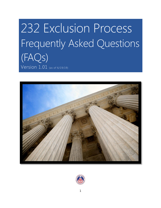# 232 Exclusion Process Frequently Asked Questions (FAQs) Version 1.01 (as of 6/19/19)

<span id="page-0-0"></span>

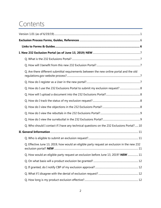# Contents

| Q. Are there different submittal requirements between the new online portal and the old     |
|---------------------------------------------------------------------------------------------|
|                                                                                             |
| Q. How do I use the 232 Exclusions Portal to submit my exclusion request?  8                |
|                                                                                             |
|                                                                                             |
|                                                                                             |
|                                                                                             |
|                                                                                             |
| Q. Who should I contact if I have any technical questions on the 232 Exclusions Portal? 10  |
|                                                                                             |
|                                                                                             |
| Q. Effective June 13, 2019, how would an eligible party request an exclusion in the new 232 |
| Q. How would an eligible party request an exclusion before June 13, 2019? NEW  11           |
|                                                                                             |
|                                                                                             |
|                                                                                             |
|                                                                                             |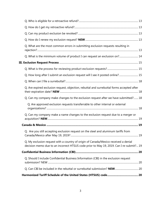| Q. What are the most common errors in submitting exclusion requests resulting in                                                                                               |    |
|--------------------------------------------------------------------------------------------------------------------------------------------------------------------------------|----|
| Q. What is the minimum volume of product I can request an exclusion on? 14                                                                                                     |    |
|                                                                                                                                                                                |    |
|                                                                                                                                                                                |    |
| Q. How long after I submit an exclusion request will I see it posted online? 15                                                                                                |    |
|                                                                                                                                                                                |    |
| Q. Are expired exclusion request, objection, rebuttal and surrebuttal forms accepted after                                                                                     |    |
| Q. Can my company make changes to the exclusion request after we have submitted? 18                                                                                            |    |
| Q. Are approved exclusion requests transferrable to other internal or external                                                                                                 |    |
| Q. Can my company make a name changes to the exclusion request due to a merger or                                                                                              |    |
|                                                                                                                                                                                |    |
| Q. Are you still accepting exclusion request on the steel and aluminum tariffs from                                                                                            | 19 |
| Q. My exclusion request with a country of origin of Canada/Mexico received a denial<br>decision memo due to an incorrect HTSUS code prior to May 19, 2019. Can I re-submit? 19 |    |
|                                                                                                                                                                                |    |
| Q. Should I include Confidential Business Information (CBI) in the exclusion request                                                                                           |    |
|                                                                                                                                                                                |    |
|                                                                                                                                                                                |    |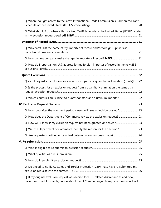| Q. Where do I get access to the latest International Trade Commission's Harmonized Tariff     |  |
|-----------------------------------------------------------------------------------------------|--|
| Q. What should I do when a Harmonized Tariff Schedule of the United States (HTSUS) code       |  |
|                                                                                               |  |
| Q. Why can't I list the name of my importer of record and/or foreign suppliers as             |  |
|                                                                                               |  |
| Q. How do I report a non-U.S. address for my foreign importer of record in the new 232        |  |
|                                                                                               |  |
| Q. Can I request an exclusion for a country subject to a quantitative limitation (quota)?  22 |  |
| Q. Is the process for an exclusion request from a quantitative limitation the same as a       |  |
| Q. Which countries are subject to quotas for steel and aluminum imports?  22                  |  |
|                                                                                               |  |
| Q. How long after the comment period closes will I see a decision posted? 23                  |  |
| Q. How does the Department of Commerce review the exclusion request? 23                       |  |
| Q. How will I know if my exclusion request has been granted or denied? 23                     |  |
|                                                                                               |  |
|                                                                                               |  |
|                                                                                               |  |
|                                                                                               |  |
|                                                                                               |  |
|                                                                                               |  |
| Q. Do I need to notify Customs and Border Protection (CBP) that I have re-submitted my        |  |
| Q. If my original exclusion request was denied for HTS-related discrepancies and now, I       |  |

[have the correct HTS code, I understand that if Commerce grants my re-submission, I will](#page-25-1)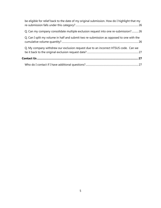| be eligible for relief back to the date of my original submission. How do I highlight that my |  |
|-----------------------------------------------------------------------------------------------|--|
| Q. Can my company consolidate multiple exclusion request into one re-submission? 26           |  |
| Q. Can I split my volume in half and submit two re-submission as opposed to one with the      |  |
| Q. My company withdrew our exclusion request due to an incorrect HTSUS code. Can we           |  |
|                                                                                               |  |
|                                                                                               |  |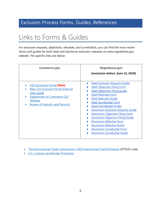## <span id="page-5-0"></span>Exclusion Process Forms, Guides, References

## <span id="page-5-1"></span>Links to Forms & Guides

For exclusion requests, objections, rebuttals, and surrebuttals, you can find the most recent forms and guides for both steel and aluminum exclusion requests on www.regulations.gov website. The specific links are below:

| <b>Commerce.gov</b>                                                                                                                                                                                                    | <b>Regulations.gov</b><br>(exclusion before June 13, 2019)                                                                                                                                                                                                                                                                                                                                                                                                                                                                  |  |  |
|------------------------------------------------------------------------------------------------------------------------------------------------------------------------------------------------------------------------|-----------------------------------------------------------------------------------------------------------------------------------------------------------------------------------------------------------------------------------------------------------------------------------------------------------------------------------------------------------------------------------------------------------------------------------------------------------------------------------------------------------------------------|--|--|
| 232 Exclusions Portal (New)<br><b>New 232 Exclusion Portal External</b><br>$\bullet$<br><b>User Guide</b><br>Department of Commerce 232<br>$\bullet$<br>Website<br><b>Bureau of Industry and Security</b><br>$\bullet$ | <b>Steel Exclusion Request Guide</b><br><b>Steel Objection Filing Form</b><br><b>Steel Objection Filing Guide</b><br><b>Steel Rebuttal Form</b><br><b>Steel Rebuttal Guide</b><br><b>Steel Surrebuttal Form</b><br><b>Steel Surrebuttal Guide</b><br><b>Aluminum Exclusion Request Guide</b><br><b>Aluminum Objection Filing Form</b><br><b>Aluminum Objection Filing Guide</b><br><b>Aluminum Rebuttal Form</b><br><b>Aluminum Rebuttal Guide</b><br><b>Aluminum Surrebuttal Form</b><br><b>Aluminum Surrebuttal Guide</b> |  |  |

- [The International Trade Commission's 2019 Harmonized Tariff Schedule](https://www.usitc.gov/tata/hts/index.htm) (HTSUS) code
- **.** U.S. Customs [and Border Protection](https://www.cbp.gov/)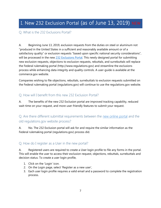## <span id="page-6-0"></span>I. New 232 Exclusion Portal (as of June 13, 2019) NEW

#### <span id="page-6-1"></span>Q. What is the 232 Exclusions Portal?

A. Beginning June 13, 2019, exclusion requests from the duties on steel or aluminum not "produced in the United States in a sufficient and reasonably available amount or of a satisfactory quality" or exclusion requests "based upon specific national security considerations", will be processed in the new  $232$  Exclusions Portal. This newly designed portal for submitting new exclusion requests, objections to exclusion requests, rebuttals, and surrebuttals will replace the Federal rulemaking portal (http://www.regulations.gov) and streamline the exclusions process while enhancing data integrity and quality controls. A user-guide is available at the commerce.gov website.

Companies wishing to file objections, rebuttals, surrebuttals to exclusion requests submitted on the Federal rulemaking portal (regulations.gov) will continue to use the regulations.gov website.

#### <span id="page-6-2"></span>Q. How will I benefit from this new 232 Exclusion Portal?

A. The benefits of the new 232 Exclusion portal are improved tracking capability, reduced wait-time on your request, and more user-friendly features to submit your request.

#### <span id="page-6-3"></span>Q. Are there different submittal requirements between the [new online portal](https://www.commerce.gov/page/section-232-investigations) and the old regulations.gov website process?

A. No. The 232 Exclusion portal will ask for and require the similar information as the Federal rulemaking portal (regulations.gov) process did.

#### <span id="page-6-4"></span>Q. How do I register as a User in the new portal?

A. Registered users are required to create a User login profile to file any forms in the portal. This will enable the user to access their exclusion request, objections, rebuttals, surrebuttals and decision status. To create a user login profile,

- 1. Click on the 'Login' icon.
- 2. On the Login page, select 'Register as a new user',
- 3. Each user login profile requires a valid email and a password to complete the registration process.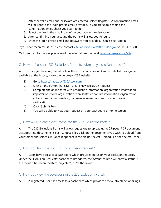- 4. After the valid email and password are entered, select 'Register'. A confirmation email will be sent to the login profile email provided. (If you are unable to find the confirmation email, check you spam folder)
- 5. Select the link in the email to confirm your account registration.
- 6. After confirming your account, the portal will allow you to login.
- 7. Enter the login profile email and password you provided. Then, select 'Log in'.

If you have technical issues, please contact [232ExclusionsPortal@bis.doc.gov](mailto:232ExclusionsPortal@bis.doc.gov) or 202-482-3203.

Or for more information, please read the external user guide at [www.commerce.gov/232.](http://www.commerce.gov/232)

#### <span id="page-7-0"></span>Q. How do I use the 232 Exclusions Portal to submit my exclusion request?

A. Once you have registered, follow the instructions below. A more detailed user-guide is available at the https://www.commerce.gov/232 website.

- 1) Go to<https://trade.gov/232/steelalum>
- 2) Click on the button that says: 'Create New Exclusion Request'.
- 3) Complete the online form with production information, organization information, importer of record, organization representative contact information, organization activity, product information, commercial names and source countries. and certification.
- 4) Click "Submit Form"
- 5) You will be able to view your request on your dashboard or home screen.

#### <span id="page-7-1"></span>Q. How will I upload a document into the 232 Exclusions Portal?

A. The 232 Exclusions Portal will allow requestors to upload up to 25-page, PDF document as supporting documents. Select 'Choose File', Click on the documents you wish to upload from your folder and select 'Ok'. Once it appears in the file bar, select 'Upload File' then select 'Done'.

#### <span id="page-7-2"></span>Q. How do I track the status of my exclusion request?

A. Users have access to a dashboard which provides status on your exclusion requests. Under the 'Exclusion Requests' dashboard dropdown, the 'Status' column will show a status if the request has been "posted", "rejected", or "withdrawn".

#### <span id="page-7-3"></span>Q. How do I view the objections in the 232 Exclusions Portal?

A. A registered user has access to a dashboard which provides a view into objection filings.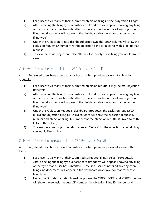- 1) For a user to view any of their submitted objection filings, select 'Objection Filings'.
- 2) After selecting the filing type, a dashboard dropdown will appear, showing any filing of that type that a user has submitted. (Note: if a user has not filed any objection filings, no documents will appear in the dashboard dropdown for that respective filing type.)
- 3) Under the 'Objection Filings' dashboard dropdown, the 'ERID' column will show the exclusion request ID number that the objection filing is linked to, with a link to that request.
- 4) To view the actual objection, select 'Details' for the objection filing you would like to view.

#### <span id="page-8-0"></span>Q. How do I view the rebuttals in the 232 Exclusions Portal?

A. Registered users have access to a dashboard which provides a view into objection rebuttals.

- 1) For a user to view any of their submitted objection rebuttal filings, select 'Objection Rebuttals'.
- 2) After selecting the filing type, a dashboard dropdown will appear, showing any filing of that type that a user has submitted. (Note: if a user has not filed any objection filings, no documents will appear in the dashboard dropdown for that respective filing type.)
- 3) Under the 'Objection Rebuttals' dashboard dropdown, the exclusion request ID (ERID) and objection filing ID (OFID) columns will show the exclusion request ID number and objection filing ID number that the objection rebuttal is linked to, with links to those filings.
- 4) To view the actual objection rebuttal, select 'Details' for the objection rebuttal filing you would like to view.

#### <span id="page-8-1"></span>Q. How do I view the surrebuttal in the 232 Exclusions Portal?

A**.** Registered users have access to a dashboard which provides a view into surrebuttal filings.

- 1) For a user to view any of their submitted surrebuttal filings, select 'Surrebuttals'.
- 2) After selecting the filing type, a dashboard dropdown will appear, showing any filing of that type that a user has submitted. (Note: if a user has not filed any objection filings, no documents will appear in the dashboard dropdown for that respective filing type.)
- 3) Under the 'Surrebuttals' dashboard dropdown, the 'ERID', 'OFID', and 'ORID' columns will show the exclusion request ID number, the objection filing ID number, and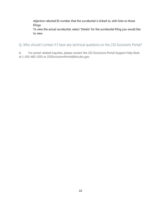objection rebuttal ID number that the surrebuttal is linked to, with links to those filings.

To view the actual surrebuttal, select 'Details' for the surrebuttal filing you would like to view.

<span id="page-9-0"></span>Q. Who should I contact if I have any technical questions on the 232 Exclusions Portal?

A. For portal-related inquiries, please contact the 232 Exclusions Portal Support Help Desk at 1-202-482-3203 or 232ExclusionsPortal@bis.doc.gov.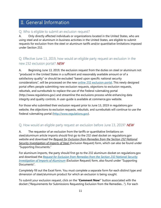## <span id="page-10-0"></span>II. General Information

#### <span id="page-10-1"></span>Q. Who is eligible to submit an exclusion request?

A. Only directly affected individuals or organizations located in the United States, who are using steel and or aluminum in business activities in the United States, are eligible to submit requests for exclusion from the steel or aluminum tariffs and/or quantitative limitations imposed under Section 232.

#### <span id="page-10-2"></span>Q. Effective June 13, 2019, how would an eligible party request an exclusion in the new 232 exclusion portal? **NEW**

A. Beginning June 13, 2019, the exclusion request from the duties on steel or aluminum not "produced in the United States in a sufficient and reasonably available amount or of a satisfactory quality" or should be excluded "based upon specific national security considerations", will be processed on the new [online 232 exclusion portal.](https://www.commerce.gov/page/section-232-investigations) This newly designed portal offers people submitting new exclusion requests, objections to exclusion requests, rebuttals, and surrebuttals to replace the use of the Federal rulemaking portal (http://www.regulations.gov) and streamline the exclusions process while enhancing data integrity and quality controls. A user-guide is available at commerce.gov website.

For those who submitted their exclusion request prior to June 13, 2019 in regulations.gov website, the objections to exclusion requests, rebuttals, and surrebuttals will continue to use the Federal rulemaking portal [\(http://www.regulations.gov\)](http://www.regulations.gov/).

#### <span id="page-10-3"></span>Q. How would an eligible party request an exclusion before June 13, 2019? NEW

A. The requestor of an exclusion from the tariffs or quantitative limitations on steel/aluminum article imports should first go to the 232 steel docket on regulations.gov website and download the *[Request for Exclusion from Remedies from the Section 232 National](https://www.bis.doc.gov/index.php/forms-documents?task=doc_download&gid=2200)  [Security Investigation of Imports of Steel](https://www.bis.doc.gov/index.php/forms-documents?task=doc_download&gid=2200)* (Exclusion Request) form, which can also be found under "Supporting Documents."

For aluminum imports, the party should first go to the 232 aluminum docket on regulations.gov and download the *[Request for Exclusion from Remedies from the Section 232 National Security](https://www.regulations.gov/document?D=BIS-2018-0002-6338)  [Investigation of Imports of Aluminum](https://www.regulations.gov/document?D=BIS-2018-0002-6338)* (Exclusion Request) form, also found under "Supporting Documents".

Completely fill out the Excel form. You must complete a separate form for each distinct type and dimension of steel/aluminum product for which an exclusion is being sought.

To submit your exclusion request, click on the "**Comment Now**!" button associated with the docket ("Requirements for Submissions Requesting Exclusion from the Remedies…"). For each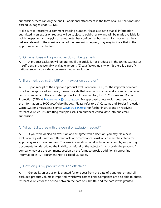submission, there can only be one (1) additional attachment in the form of a PDF that does not exceed 25 pages under 10 MB.

Make sure to record your comment tracking number. Please also note that all information submitted in an exclusion request will be subject to public review and will be made available for public inspection and copying. If a requester has confidential business information that they believe relevant to the consideration of their exclusion request, they may indicate that in the appropriate field of the form.

#### <span id="page-11-0"></span>Q. On what basis will a product exclusion be granted?

A. A product exclusion will be granted if the article is not produced in the United States: (1) in sufficient and reasonably available amount, (2) satisfactory quality, or (3) there is a specific national security consideration warranting an exclusion.

#### <span id="page-11-1"></span>Q. If granted, do I notify CBP of my exclusion approval?

A. Upon receipt of the approved product exclusion from DOC, for the importer of record listed in the approved exclusion, please provide that company's name, address and importer of record number, and the associated product exclusion number, to U.S. Customs and Border Protection (CBP) at [Traderemedy@cbp.dhs.gov.](mailto:Traderemedy@cbp.dhs.gov) For approved quota exclusions, send a cc: of the information to HQQuota@cbp.dhs.gov. Please refer to U.S. Customs and Border Protection Cargo Systems Messaging Service [CSMS #18-000663](https://csms.cbp.gov/viewmssg.asp?Recid=23875&page=&srch_argv=Sec%20232&srchtype=&btype=&sortby=&sby=) for further instructions on receiving retroactive relief. If submitting multiple exclusion numbers, consolidate into one email submission.

#### <span id="page-11-2"></span>Q. What if I disagree with the denial of exclusion request?

A. If you were denied an exclusion and disagree with a decision, you may file a new exclusion request if new or different facts or circumstances exist which meet the criteria for approving an exclusion request. This new information could include, for example, supporting documentation describing the inability or refusal of the objector(s) to provide the product. A company may use the comments section on the forms to provide additional supporting information in PDF document not to exceed 25 pages.

#### <span id="page-11-3"></span>Q. How long is my product exclusion effective?

A. Generally, an exclusion is granted for one year from the date of signature, or until all excluded product volume is imported (whichever comes first). Companies are also able to obtain retroactive relief for the period between the date of submittal and the date it was granted.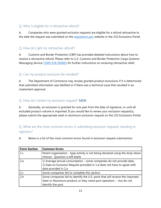#### <span id="page-12-0"></span>Q. Who is eligible for a retroactive refund?

A. Companies who were granted exclusion requests are eligible for a refund retroactive to the date the request was submitted on the [regulations.gov](http://www.regulations.gov/) website or the 232 Exclusions Portal

#### <span id="page-12-1"></span>Q. How do I get my retroactive refund?

A. Customs and Border Protection (CBP) has provided detailed instructions about how to receive a retroactive refund. Please refer to U.S. Customs and Border Protection Cargo Systems Messaging Service [CSMS #18-000663](https://csms.cbp.gov/viewmssg.asp?Recid=23875&page=&srch_argv=Sec%20232&srchtype=&btype=&sortby=&sby=) for further instructions on receiving retroactive relief.

#### <span id="page-12-2"></span>Q. Can my product exclusion be revoked?

A. The Department of Commerce may revoke granted product exclusions if it is determined that submitted information was falsified or if there was a technical issue that resulted in an inadvertent approval.

#### <span id="page-12-3"></span>Q. How do I renew my exclusion request? NEW

A. Generally, an exclusion is granted for one year from the date of signature, or until all excluded product volume is imported. If you would like to renew your exclusion request(s), please submit the appropriate steel or aluminum exclusion request on the 232 Exclusions Portal.

#### <span id="page-12-4"></span>Q. What are the most common errors in submitting exclusion requests resulting in rejection?

A. Below is a list of the most common errors found in exclusion request submissions:

| <b>Form Section</b><br><b>Common Errors</b> |                                                                                                                   |  |  |
|---------------------------------------------|-------------------------------------------------------------------------------------------------------------------|--|--|
| 1.c                                         | Parent organization - type activity is not being declared using the drop-down<br>choices. Question is left blank. |  |  |
|                                             |                                                                                                                   |  |  |
| 2.a                                         | 1) Average annual consumption – some companies do not provide data;                                               |  |  |
|                                             | 2) Data on Exclusion Request provided in 1.d does not have to agree with                                          |  |  |
|                                             | data provided in 2.a                                                                                              |  |  |
| 2.c                                         | Some companies fail to complete this section.                                                                     |  |  |
| 2.h                                         | Some companies fail to identify the U.S. ports that will receive the imported                                     |  |  |
|                                             | Steel or Aluminum product; or they name port operators -- but do not                                              |  |  |
|                                             | identify the port.                                                                                                |  |  |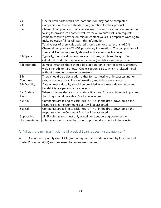| 2.i                         | One or both parts of this two-part question may not be completed.                                                                                                                                                                                                                                                                                                                                                                                                                                           |  |  |  |  |
|-----------------------------|-------------------------------------------------------------------------------------------------------------------------------------------------------------------------------------------------------------------------------------------------------------------------------------------------------------------------------------------------------------------------------------------------------------------------------------------------------------------------------------------------------------|--|--|--|--|
| 2.k                         | Companies fail to cite a standards organization for their product.                                                                                                                                                                                                                                                                                                                                                                                                                                          |  |  |  |  |
| 3.a                         | Chemical composition - For steel exclusion requests, a common problem is<br>failing to provide iron content values; for Aluminum exclusion requests,<br>companies fail to provide Aluminum content values. Companies wanting to<br>make objection filings will want this information.<br>Total values of chemicals declared should aim for greater than 99.7%.<br>Chemical composition IS NOT proprietary information. The composition of<br>steel and Aluminum is easily defined with a mass spectrometer. |  |  |  |  |
| 3.b Specs                   | Typically, the critical dimensions are thickness, width and height. For<br>cylindrical products, the outside diameter (height) should be provided.                                                                                                                                                                                                                                                                                                                                                          |  |  |  |  |
| 3.b Strength                | In most instances there should be a declaration either for tensile, strength,<br>yield strength, or hardness. One exception is slab, which is relaxed metal<br>without these performance parameters.                                                                                                                                                                                                                                                                                                        |  |  |  |  |
| 3.b<br>Toughness            | There should be a declaration either for tear testing or impact testing for<br>products where durability, deformation, and failure are a concern.                                                                                                                                                                                                                                                                                                                                                           |  |  |  |  |
| 3.b Ductility               | Data on metal ductility should be provided where metal deformation and<br>bendability are performance concerns.                                                                                                                                                                                                                                                                                                                                                                                             |  |  |  |  |
| 3.c. Surface<br>Finish      | When someone declares that surface finish and/or smoothness is important,<br>then they should provide a Profilometer score.                                                                                                                                                                                                                                                                                                                                                                                 |  |  |  |  |
| 4.e-4.h                     | Companies are failing to click "Yes" or "No" in the drop-down box; If the<br>response is in the Comment Box, it will be accepted.                                                                                                                                                                                                                                                                                                                                                                           |  |  |  |  |
| $5.a-5.d$                   | Companies are failing to click "Yes" or "No" in the drop-down box; If the<br>response is in the Comment Box, it will be accepted.                                                                                                                                                                                                                                                                                                                                                                           |  |  |  |  |
| Supporting<br>documentation | All ER submissions must only contain one supporting document. All<br>submissions with more than one supporting document will be rejected.                                                                                                                                                                                                                                                                                                                                                                   |  |  |  |  |

<span id="page-13-0"></span>Q. What is the minimum volume of product I can request an exclusion on?

A. A minimum quantity over 1 kilogram is required to be administered by Customs and Border Protection (CBP) and processed for an exclusion request.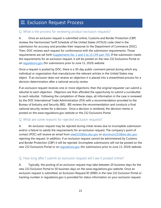## <span id="page-14-0"></span>III. Exclusion Request Process

#### <span id="page-14-1"></span>Q. What is the process for reviewing product exclusion requests?

A. Once an exclusion request is submitted online, Customs and Border Protection (CBP) reviews the Harmonized Tariff Schedule of the United States (HTSUS) code cited in the submission for accuracy and provides their response to the Department of Commerce (DOC). Then, DOC reviews each request for conformance with the submission requirements. Those requirements are set forth [Supplements No. 1 and 2 to 15 CFR part 705.](https://ecfr.io/Title-15/pt15.2.705) If the submission meets the requirements for an exclusion request, it will be posted on the new 232 Exclusions Portal or on [regulations.gov](http://www.regulations.gov/) (for submissions prior to June 13, 2019) website.

Once a request is posted by DOC, there is a 30-day public comment period during which any individual or organization that manufactures the relevant articles in the United States may object. If an exclusion does not receive an objection it is placed into a streamlined process for a decision determination after a national security review

If an exclusion request receives one or more objections, then the original requester can submit a rebuttal to each objection. Objectors are then afforded the opportunity to submit a surrebuttal to each rebuttal. Following the completion of these steps, all information in the case is reviewed by the DOC International Trade Administration (ITA) with a recommendation provided to the Bureau of Industry and Security (BIS). BIS reviews the recommendation and conducts a final national security review for a decision. Once a decision is rendered, the decision memo is posted on the www.regulations.gov website or the 232 Exclusions Portal.

#### Q. What are some reasons for rejected exclusion requests?

A. An exclusion request may be rejected during initial review due to incomplete submission and/or a failure to satisfy the requirements for an exclusion request. The company's point of contact (POC) will receive an email from [steel232@bis.doc.gov](mailto:steel232@bis.doc.gov) or [aluminum232@bis.doc.gov](mailto:aluminum232@bis.doc.gov) rejecting the request. In addition, if an exclusion request cannot be administered by Customs and Border Protection (CBP) it will be rejected. Incomplete submissions will not be posted on the new 232 Exclusions Portal or on requlations.gov (for submissions prior to June 13, 2019) website.

#### <span id="page-14-2"></span>Q. How long after I submit an exclusion request will I see it posted online?

A. Typically, the posting of an exclusion request may take between 20 business days for the new 232 Exclusion Portal to 50 business days on the www.regulations.gov website. Once an exclusion request is submitted, an Exclusion Request ID (ERID) in the new 232 Exclusion Portal or tracking number in regulations.gov is provided for status information on your exclusion request.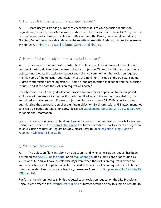#### Q. How do I track the status of my exclusion request?

A. Please use your tracking number to check the status of your exclusion request on regulations.gov or the new 232 Exclusion Portal. For submissions prior to June 13, 2019, the title of your request will inform you of its status (Review, Rebuttal Period, Surrebuttal Period, and Granted/Denied). You may also reference the rebuttal/surrebuttal finder at this link to determine the status: [Aluminum and Steel Rebuttal Surrebuttal Finders](https://www.commerce.gov/page/section-232-investigations).

#### Q. How do I submit an objection to an exclusion request?

A. Once an exclusion request is posted by the Department of Commerce for the 30-day comment period, eligible objectors may submit an objection. When submitting an objection, an objector must locate the exclusion request and submit a comment on that exclusion request. The file name of the objection submission must, at a minimum, include 1) the objector's name, 2) date of submission of the objection, 3) name of the organization that submitted the exclusion request, and 4) the date the exclusion request was posted.

The objection should clearly identify and provide support for its opposition to the proposed exclusion, with reference to the specific basis identified in, and the support provided for, the submitted exclusion request. For each objection filed prior to June 13, 2019, objector should submit using the appropriate steel or aluminum objection Excel form, with a PDF attachment not to exceed 25 pages on regulations.gov. Please see Supplements No. [1 and 2 to 15 CFR part 705](https://ecfr.io/Title-15/pt15.2.705) for additional information.

For further details on how to submit an objection to an exclusion request on the 232 Exclusions Portal, please refer to the **External User Guide**. For further details on how to submit an objection to an exclusion request on regulations.gov, please refer to [Steel Objection Filing Guide](https://www.regulations.gov/searchResults?rpp=25&po=0&s=bis-2018-0006-7679&fp=true&ns=true) or [Aluminum Objection Filing Guide](https://www.regulations.gov/searchResults?rpp=25&po=0&s=bis-2018-0002-1156&fp=true&ns=true)

#### Q. When can I file an objection?

A. The objection filer can submit an objection if and when an exclusion request has been posted on the [new 232 online portal](https://www.commerce.gov/page/section-232-investigations) or on [regulations.gov](http://www.regulations.gov/) (for submissions prior to June 13, 2019) website. You will have 30 calendar days from when the exclusion request is posted to submit an objection. A separate objection is needed for each exclusion request. For additional information about submitting an objection, please see Annex 1 to Supplements No. 1 or 2 to 15 [CFR part 705.](https://ecfr.io/Title-15/pt15.2.705)

For further details on how to submit a rebuttal to an exclusion request on the 232 Exclusions Portal, please refer to the **External User Guide**. For further details on how to submit a rebuttal to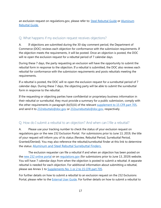an exclusion request on regulations.gov, please refer to: **Steel Rebuttal Guide or Aluminum** [Rebuttal Guide.](https://www.regulations.gov/document?D=BIS-2018-0002-4490)

#### Q. What happens if my exclusion request receives objections?

A. If objections are submitted during the 30-day comment period, the Department of Commerce (DOC) reviews each objection for conformance with the submission requirements. If the objection meets the requirements, it will be posted. Once an objection is posted, the DOC will re-open the exclusion request for a rebuttal period of 7 calendar days.

During these 7 days, the party requesting an exclusion will have the opportunity to submit the rebuttal form in response to the objection. If a rebuttal is submitted, the DOC also reviews each rebuttal for conformance with the submission requirements and posts rebuttals meeting the requirements.

If a rebuttal is posted, the DOC will re-open the exclusion request for a surrebuttal period of 7 calendar days. During these 7 days, the objecting party will be able to submit the surrebuttal form in response to the rebuttal.

If the requesting or objecting parties have confidential or proprietary business information in their rebuttal or surrebuttal, they must provide a summary for a public submission, comply with the other requirements in paragraph (b)(5)(iii) of the relevant [supplement to 15 CFR part 705,](https://ecfr.io/Title-15/pt15.2.705) and send it to [232rebuttals@doc.gov](mailto:232rebuttals@doc.gov) or [232surrebuttals@doc.gov,](mailto:232surrebuttals@doc.gov) respectively.

#### Q. How do I submit a rebuttal to an objection? And when can I file a rebuttal?

A. Please use your tracking number to check the status of your exclusion request on regulations.gov or the new 232 Exclusion Portal. For submissions prior to June 13, 2019, the title of your request will inform you of its status (Review, Rebuttal Period, Surrebuttal Period, Granted/Denied). You may also reference the rebuttal/surrebuttal finder at this link to determine the status: [Aluminum and Steel Rebuttal Surrebuttal Finders](https://www.commerce.gov/page/section-232-investigations).

The exclusion requester can file a rebuttal if and when an objection has been posted on the [new 232 online portal](https://www.commerce.gov/page/section-232-investigations) or on [regulations.gov](http://www.regulations.gov/) (for submissions prior to June 13, 2019) website. You will have 7 calendar days from when the objection is posted to submit a rebuttal. A separate rebuttal is needed for each objection. For additional information about submitting a rebuttal, please see Annex 1 to [Supplements No. 1 or 2 to 15 CFR part 705.](https://ecfr.io/Title-15/pt15.2.705)

For further details on how to submit a rebuttal to an exclusion request on the 232 Exclusions Portal, please refer to the [External User Guide.](file:///C:/Users/tnguyen2/AppData/Local/Microsoft/Windows/INetCache/Content.Outlook/B8OQJB3Q/commerce.gov/232) For further details on how to submit a rebuttal to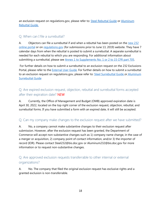an exclusion request on regulations.gov, please refer to: **[Steel Rebuttal Guide](https://www.regulations.gov/document?D=BIS-2018-0006-45250) or Aluminum** [Rebuttal Guide.](https://www.regulations.gov/document?D=BIS-2018-0002-4490)

#### <span id="page-17-0"></span>Q. When can I file a surrebuttal?

A. Objectors can file a surrebuttal if and when a rebuttal has been posted on the new 232 [online portal](https://www.commerce.gov/page/section-232-investigations) or on [regulations.gov](http://www.regulations.gov/) (for submissions prior to June 13, 2019) website. They have 7 calendar days from when the rebuttal is posted to submit a surrebuttal. A separate surrebuttal is needed for each rebuttal to which you are responding. For additional information about submitting a surrebuttal, please see [Annex 1 to Supplements No. 1 or 2 to 15 CFR part 705.](https://ecfr.io/Title-15/pt15.2.705)

For further details on how to submit a surrebuttal to an exclusion request on the 232 Exclusions Portal, please refer to the **External User Guide**. For further details on how to submit a surrebuttal to an exclusion request on regulations.gov, please refer to: [Steel Surrebuttal Guide](https://www.regulations.gov/document?D=BIS-2018-0006-45251) or Aluminum [Surrebuttal Guide](https://www.regulations.gov/document?D=BIS-2018-0002-4491)

#### <span id="page-17-1"></span>Q. Are expired exclusion request, objection, rebuttal and surrebuttal forms accepted after their expiration date? NEW

A. Currently, the Office of Management and Budget (OMB) approved expiration date is April 30, 2022, located on the top right corner of the exclusion request, objection, rebuttal, and surrebuttal forms. If you have submitted a form with an expired date, it will still be accepted.

#### <span id="page-17-2"></span>Q. Can my company make changes to the exclusion request after we have submitted?

A. No, a company cannot make substantive changes to their exclusion request after submission. However, after the exclusion request has been granted, the Department of Commerce will accept non-substantive changes such as 1) company name change, in the case of a merger or acquisition, 2) company point of contact information, and/or 3) the importer of record (IOR). Please contact Steel232@bis.doc.gov or Aluminum232@bis.doc.gov for more information or to request non-substantive changes.

#### <span id="page-17-3"></span>Q. Are approved exclusion requests transferrable to other internal or external organizations?

A. No. The company that filed the original exclusion request has exclusive rights and a granted exclusion is non-transferrable.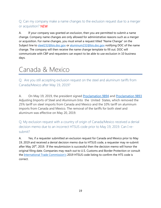#### <span id="page-18-0"></span>Q. Can my company make a name changes to the exclusion request due to a merger or acquisition? NEW

A. If your company was granted an exclusion, then you are permitted to submit a name change. Company name changes are only allowed for administrative reasons such as a merger or acquisition. For name changes, you must email a request titled "Name Change" on the Subject line to [steel232@bis.doc.gov](mailto:steel232@bis.doc.gov) or [aluminum232@bis.doc.gov](mailto:aluminum232@bis.doc.gov) notifying DOC of the name change. The company will then receive the name change template to fill out. DOC will communicate with CBP and requesters can expect to be able to use exclusion in 10 business days.

## <span id="page-18-1"></span>Canada & Mexico

<span id="page-18-2"></span>Q. Are you still accepting exclusion request on the steel and aluminum tariffs from Canada/Mexico after May 19, 2019?

A. On May 19, 2019, the president signed [Proclamation 9894](https://www.federalregister.gov/documents/2019/05/23/2019-11002/adjusting-imports-of-steel-into-the-united-states) and [Proclamation 9893](https://www.federalregister.gov/documents/2019/05/23/2019-10999/adjusting-imports-of-aluminum-into-the-united-states)  Adjusting Imports of Steel and Aluminum Into the United States, which removed the 25% tariff on steel imports from Canada and Mexico and the 10% tariff on aluminum imports from Canada and Mexico. The removal of the tariffs for both steel and aluminum was effective on May 20, 2019.

<span id="page-18-3"></span>Q. My exclusion request with a country of origin of Canada/Mexico received a denial decision memo due to an incorrect HTSUS code prior to May 19, 2019. Can I resubmit?

A. Yes, if a requester submitted an exclusion request for Canada and Mexico prior to May 19, 2019 and received a denial decision memo due to HTSUS code, a requester may re-submit after May 20<sup>th</sup>, 2019. If the resubmission is successful then the decision memo will honor the original filing date. Companies may reach out to U.S. Customs and Border Protection or consult the [International Trade Commission's](https://www.usitc.gov/tata/hts/index.htm) 2019 HTSUS code listing to confirm the HTS code is correct.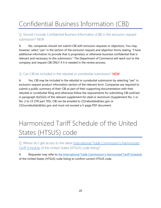# <span id="page-19-0"></span>Confidential Business Information (CBI)

<span id="page-19-1"></span>Q. Should I include Confidential Business Information (CBI) in the exclusion request submission? NEW

A. No, companies should not submit CBI with exclusion requests or objections. You may, however, select "yes" in the section of the exclusion request and objection forms stating, "I have additional information to provide that is proprietary or otherwise business confidential that is relevant and necessary to this submission." The Department of Commerce will reach out to the company and request CBI ONLY if it is needed in the review process.

#### <span id="page-19-2"></span>Q. Can CBI be included in the rebuttal or surrebuttal submission? NEW

A. Yes, CBI may be included in the rebuttal or surrebuttal submission by selecting "yes" in exclusion request product information section of the relevant form. Companies are required to submit a public summary of their CBI as part of their supporting documentation with their rebuttal or surrebuttal filing and otherwise follow the requirements for submitting CBI outlined in paragraph (b)(5)(iii) of the relevant supplement for steel or aluminum (Supplement No. 1 or No. 2 to 15 CFR part 705). CBI can be emailed to 232rebuttals@doc.gov or 232surrebuttals@doc.gov and must not exceed a 5-page PDF document.

# <span id="page-19-3"></span>Harmonized Tariff Schedule of the United States (HTSUS) code

<span id="page-19-4"></span>Q. Where do I get access to the latest [International Trade Commission's Harmonized](https://www.usitc.gov/tata/hts/index.htm)  [Tariff Schedule](https://www.usitc.gov/tata/hts/index.htm) of the United States (HTSUS) code listing?

A. Requester may refer to the Internationa[l Trade Commission's Harmonized Tariff Schedule](https://www.usitc.gov/tata/hts/index.htm) of the United States (HTSUS) code listing to confirm current HTSUS code.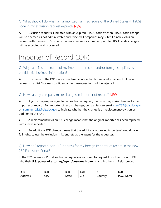#### <span id="page-20-0"></span>Q. What should I do when a Harmonized Tariff Schedule of the United States (HTSUS) code in my exclusion request expired? NEW

A. Exclusion requests submitted with an expired HTSUS code after an HTSUS code change will be deemed as not administrable and rejected. Companies may submit a new exclusion request with the new HTSUS code. Exclusion requests submitted prior to HTSUS code changes will be accepted and processed.

# <span id="page-20-1"></span>Importer of Record (IOR)

<span id="page-20-2"></span>Q. Why can't I list the name of my importer of record and/or foreign suppliers as confidential business information?

A. The name of the IOR is not considered confidential business information. Exclusion requests that list "business confidential" in those questions will be rejected.

#### <span id="page-20-3"></span>Q. How can my company make changes in importer of record? NEW

A. If your company was granted an exclusion request, then you may make changes to the importer of record. For importer of record changes, companies can email [steel232@bis.doc.gov](mailto:steel232@bis.doc.gov) or [aluminum232@bis.doc.gov](mailto:aluminum232@bis.doc.gov) to indicate whether the change is an replacement/revision or addition to the IOR.

- A replacement/revision IOR change means that the original importer has been replaced with a new importer.
- An additional IOR change means that the additional approved importer(s) would have full rights to use the exclusion in its entirety as the agent for the requester.

#### <span id="page-20-4"></span>Q. How do I report a non-U.S. address for my foreign importer of record in the new 232 Exclusions Portal?

In the 232 Exclusions Portal, exclusion requestors will need to request from their Foreign IOR who their **U.S. power of attorney/agent/customs broker** is and list them in fields below:

| <b>IOR</b> | <b>IOR</b>      | <b>IOR</b> | <b>IOR</b>           | <b>IOR</b> | <b>IOR</b>                                                |
|------------|-----------------|------------|----------------------|------------|-----------------------------------------------------------|
| Address    | <b></b><br>City | State      | $\rightarrow$<br>∠ıp | country    | DΩ<br>'ame'<br>м<br>∴Nar<br>∼<br>$\overline{\phantom{0}}$ |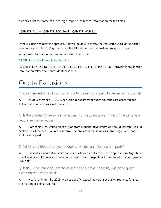as well as, list the name of the foreign importer of record information for the fields:

#### Q1b\_IOR\_Name | Q1b\_IOR\_POC\_Email | Q1b\_IOR\_Website

If the exclusion request is approved, CBP will be able to locate the requestor's foreign importer of record data in the CBP system when the IOR files a claim or post summary correction.

Additional information on foreign importer of record at:

19 CFR Part 141 – [Entry of Merchandise](https://gov.ecfr.io/cgi-bin/retrieveECFR?gp=1&SID=9c70f7edbc1dffe46bc8402d0ff37a38&ty=HTML&h=L&mc=true&n=pt19.2.141&r=PART#se19.2.141_11)

19 CFR 141.17, 141.18, 141.31, 141.32, 141.34, 141.35, 141.36, and 141.37 – provide more specific information related to nonresident importers.

## <span id="page-21-0"></span>Quota Exclusions

<span id="page-21-1"></span>Q. Can I request an exclusion for a country subject to a quantitative limitation (quota)?

A. As of September 11, 2018, exclusion requests from quota countries are accepted and follow the standard process for review.

<span id="page-21-2"></span>Q. Is the process for an exclusion request from a quantitative limitation the same as a regular exclusion request?

A. Companies requesting an exclusion from a quantitative limitation should indicate "yes" in section 5.e of the exclusion request form. The process is the same as submitting a tariff-based exclusion request.

#### <span id="page-21-3"></span>Q. Which countries are subject to quotas for steel and aluminum imports?

A. Presently, quantitative limitations or quotas are in place for steel imports from Argentina, Brazil, and South Korea and for aluminum imports from Argentina. For more information, please visit CBP.

Q. Is the Department of Commerce accepting a project-specific, expedited quota exclusion request for steel?

A. No. As of March 31, 2019, project-specific, expedited quota exclusion requests for steel are no longer being accepted.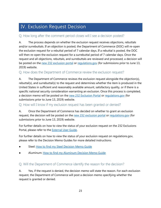## <span id="page-22-0"></span>IV. Exclusion Request Decision

#### <span id="page-22-1"></span>Q. How long after the comment period closes will I see a decision posted?

A. The process depends on whether the exclusion request receives objections, rebuttals and/or surrebuttals. If an objection is posted, the Department of Commerce (DOC) will re-open the exclusion request for a rebuttal period of 7 calendar days. If a rebuttal is posted, the DOC will then re-open the exclusion request for a surrebuttal period of 7 calendar days. Once the request and all objections, rebuttals, and surrebuttals are reviewed and processed, a decision will be posted on the [new 232 exclusion portal](https://www.commerce.gov/page/section-232-investigations) or [regulations.gov](https://www.regulations.gov/) (for submissions prior to June 13, 2019) website.

#### <span id="page-22-2"></span>Q. How does the Department of Commerce review the exclusion request?

A. The Department of Commerce reviews the exclusion request alongside the objection(s), rebuttal(s), and surrebuttal(s) to the request and determines whether the item is produced in the United States in sufficient and reasonably available amount, satisfactory quality, or if there is a specific national security consideration warranting an exclusion. Once this process is completed, a decision memo will be posted on the [new 232 Exclusion Portal](https://www.commerce.gov/page/section-232-investigations) or [regulations.gov](https://www.regulations.gov/) (for submissions prior to June 13, 2019) website.

#### <span id="page-22-3"></span>Q. How will I know if my exclusion request has been granted or denied?

A. Once the Department of Commerce has decided on whether to grant an exclusion request, the decision will be posted on the [new 232 exclusion portal](https://www.commerce.gov/page/section-232-investigations) or [regulations.gov](https://www.regulations.gov/) (for submissions prior to June 13, 2019) website.

For further details on how to view the status of your exclusion request on the 232 Exclusions Portal, please refer to the **External User Guide**.

For further details on how to view the status of your exclusion request on regulations.gov, please refer to the Decision Memo Guides for more detailed instructions:

- Steel: [How to find my Steel Decision Memo Guide](https://www.regulations.gov/document?D=BIS-2018-0006-12651)
- Aluminum: [How to find my Aluminum Decision Memo Guide](https://www.regulations.gov/document?D=BIS-2018-0002-1995)

#### <span id="page-22-4"></span>Q. Will the Department of Commerce identify the reason for the decision?

A. Yes, if the request is denied, the decision memo will state the reason. For each exclusion request, the Department of Commerce will post a decision memo specifying whether the request is granted or denied.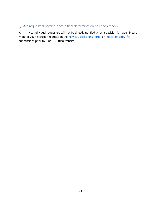#### <span id="page-23-0"></span>Q. Are requesters notified once a final determination has been made?

A. No, individual requesters will not be directly notified when a decision is made. Please monitor your exclusion request on the [new 232 Exclusions](https://www.commerce.gov/page/section-232-investigations) Portal or [regulations.gov](https://www.regulations.gov/) (for submissions prior to June 13, 2019) website.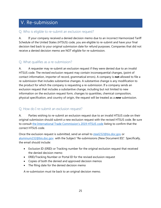## <span id="page-24-0"></span>V. Re-submission

#### <span id="page-24-1"></span>Q. Who is eligible to re-submit an exclusion request?

A. If your company received a denied decision memo due to an incorrect Harmonized Tariff Schedule of the United States (HTSUS) code, you are eligible to re-submit and have your final decision tied back to your original submission date for refund purposes. Companies that did not receive a denied decision memo are NOT eligible for re-submission.

#### <span id="page-24-2"></span>Q. What qualifies as a re-submission?

A. A requester may re-submit an exclusion request if they were denied due to an invalid HTSUS code. The revised exclusion request may contain inconsequential changes, (point of contact information, importer of record, grammatical errors). A company is **not** allowed to file a re-submission that includes substantive changes. A substantive change is any modification to the product for which the company is requesting a re-submission. If a company sends an exclusion request that includes a substantive change, including but not limited to new information on the exclusion request form, changes to quantities, chemical composition, physical specification, and country of origin, the request will be treated as a *new* submission.

#### <span id="page-24-3"></span>Q. How do I re-submit an exclusion request?

A. Parties wishing to re-submit an exclusion request due to an invalid HTSUS code on their original submission should submit a new exclusion request with the revised HTSUS code. Be sure to consult [the International Trade Commission's 2019 HTSUS code](https://www.usitc.gov/tata/hts/index.htm) listing to confirm that the correct HTSUS code.

Once the exclusion request is submitted, send an email to [steel232@bis.doc.gov](mailto:steel232@bis.doc.gov) or [aluminum232@bis.doc.gov](mailto:aluminum232@bis.doc.gov) with the Subject "Re-submissions [New Document ID]". Specifically, the email should include:

- Exclusion ID (ERID) or Tracking number for the original exclusion request that received the denied decision memo
- ERID/Tracking Number or Portal ID for the revised exclusion request
- Copies of both the denied and approved decision memos
- The filing date for the denied decision memo

A re-submission must tie back to an original decision memo.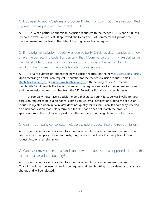#### <span id="page-25-0"></span>Q. Do I need to notify Customs and Border Protection (CBP) that I have re-submitted my exclusion request with the correct HTSUS?

A. No. When parties re-submit an exclusion request with the revised HTSUS code, CBP will review the exclusion request. If approved, the Department of Commerce will provide the decision memo retroactive to the date of the original exclusion request.

<span id="page-25-1"></span>Q. If my original exclusion request was denied for HTS-related discrepancies and now, I have the correct HTS code, I understand that if Commerce grants my re-submission, I will be eligible for relief back to the date of my original submission. How do I highlight that my re-submission falls under this category?

A. For a re-submission, submit the new exclusion request on the new [232 Exclusions Portal.](https://trade.gov/232/steelalum) Upon receiving an exclusion request ID number for the revised exclusion request, email [steel232@bis.doc.gov](mailto:steel232@bis.doc.gov) or [aluminum232@bis.doc.gov](mailto:aluminum232@bis.doc.gov) with the Subject Line: "HTS code Resubmittal" and provide the tracking number from regulations.gov for the original submission and the exclusion request number from the 232 Exclusions Portal for the resubmission.

A company must have a decision memo that states your HTS code was invalid for your exclusion request to be eligible for re-submission. An email notification stating the exclusion request is rejected upon initial review does not qualify for resubmission. If a company received an email notification that CBP determined the HTS code does not match the product specifications in the exclusion request, then the company is not eligible for re-submission.

#### <span id="page-25-2"></span>Q. Can my company consolidate multiple exclusion request into one re-submission?

A. Companies are only allowed to submit one re-submission per exclusion request. If a company has multiple exclusion requests, they cannot consolidate the multiple exclusion request into one re-submission.

#### <span id="page-25-3"></span>Q. Can I split my volume in half and submit two re-submission as opposed to one with the cumulative volume quantity?

A. Companies are only allowed to submit one re-submission per exclusion request. Changing volumes between an exclusion request and re-submitting is considered a substantive change and will be rejected.